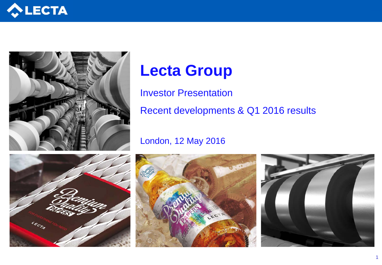



# **Lecta Group**

Investor Presentation

Recent developments & Q1 2016 results

### London, 12 May 2016





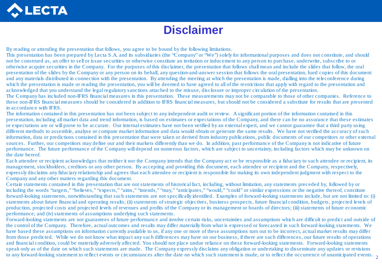

### **Disclaimer**

By reading or attending the presentation that follows, you agree to be bound by the following limitations.

This presentation has been prepared by Lecta S.A. and its subsidiaries (the "Company" or "We") solely for informational purposes and does not constitute, and should not be construed as, an offer to sell or issue securities or otherwise constitute an invitation or inducement to any person to purchase, underwrite, subscribe to or otherwise acquire securities in the Company. For the purposes of this disclaimer, the presentation that follows shall mean and include the slides that follow, the oral presentation of the slides by the Company or any person on its behalf, any question-and-answer session that follows the oral presentation, hard copies of this document and any materials distributed in connection with the presentation. By attending the meeting at which the presentation is made, dialling into the teleconference during which the presentation is made or reading the presentation, you will be deemed to have agreed to all of the restrictions that apply with regard to the presentation and acknowledged that you understand the legal regulatory sanctions attached to the misuse, disclosure or improper circulation of the presentation.

The Company has included non-IFRS financial measures in this presentation. These measurements may not be comparable to those of other companies. Reference to these non-IFRS financial measures should be considered in addition to IFRS financial measures, but should not be considered a substitute for results that are presented in accordance with IFRS.

The information contained in this presentation has not been subject to any independent audit or review. A significant portion of the information contained in this presentation, including all market data and trend information, is based on estimates or expectations of the Company, and there can be no assurance that these estimates or expectations are or will prove to be accurate. Our internal estimates have not been verified by an external expert, and we cannot guarantee that a third party using different methods to assemble, analyse or compute market information and data would obtain or generate the same results. We have not verified the accuracy of such information, data or predictions contained in this presentation that were taken or derived from industry publications, public documents of our competitors or other external sources. Further, our competitors may define our and their markets differently than we do. In addition, past performance of the Company is not indicative of future performance. The future performance of the Company will depend on numerous factors, which are subject to uncertainty, including factors which may be unknown on the date hereof.

Each attendee or recipient acknowledges that neither it nor the Company intends that the Company act or be responsible as a fiduciary to such attendee or recipient, its management, stockholders, creditors or any other person. By accepting and providing this document, each attendee or recipient and the Company, respectively, expressly disclaims any fiduciary relationship and agrees that each attendee or recipient is responsible for making its own independent judgment with respect to the Company and any other matters regarding this document.

Certain statements contained in this presentation that are not statements of historical fact, including, without limitation, any statements preceded by, followed by or including the words "targets," "believes," "expects," "aims," "intends," "may," "anticipates," "would," "could" or similar expressions or the negative thereof, constitute forward-looking statements, notwithstanding that such statements are not specifically identified. Examples of forward-looking statements include, but are not limited to: (i) statements about future financial and operating results; (ii) statements of strategic objectives, business prospects, future financial condition, budgets, projected levels of production, projected costs and projected levels of revenues and profits of the Company or its management or boards of directors; (iii) statements of future economic performance; and (iv) statements of assumptions underlying such statements.

to any forward-looking statement to reflect events or circumstances after the date on which such statement is made, or to reflect the occurrence of unanticipated events.  $\frac{1}{2}$ Forward-looking statements are not guarantees of future performance and involve certain risks, uncertainties and assumptions which are difficult to predict and outside of the control of the Company. Therefore, actual outcomes and results may differ materially from what is expressed or forecasted in such forward-looking statements. We have based these assumptions on information currently available to us, if any one or more of these assumptions turn out to be incorrect, actual market results may differ from those predicted. While we do not know what impact any such differences may have on our business, if there are such differences, our future results of operations and financial condition, could be materially adversely affected. You should not place undue reliance on these forward-looking statements. Forward-looking statements speak only as of the date on which such statements are made. The Company expressly disclaims any obligation or undertaking to disseminate any updates or revisions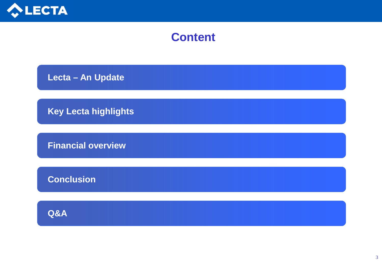

### **Content**

 **Lecta – An Update**

 **Key Lecta highlights**

 **Financial overview**

 **Conclusion**

 **Q&A**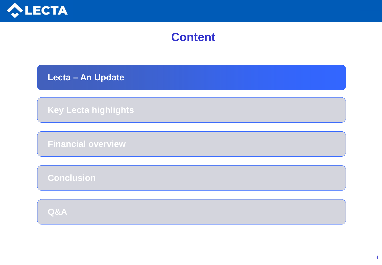

### **Content**

 **Lecta – An Update**

 **Key Lecta highlights**

 **Financial overview**

 **Conclusion**

 **Q&A**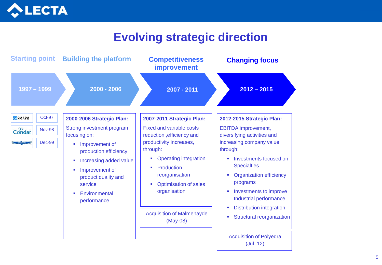

### **Evolving strategic direction**

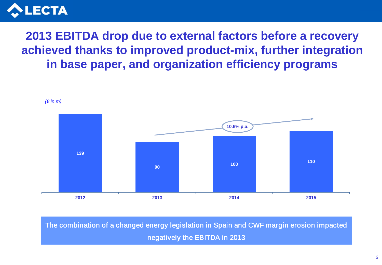

### **2013 EBITDA drop due to external factors before a recovery achieved thanks to improved product-mix, further integration in base paper, and organization efficiency programs**



The combination of a changed energy legislation in Spain and CWF margin erosion impacted negatively the EBITDA in 2013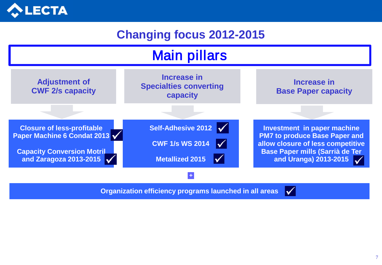

## **Changing focus 2012-2015**



**Organization efficiency programs launched in all areas**

 $\vert \sqrt{\vert}$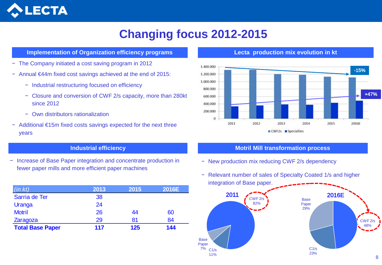

### **Changing focus 2012-2015**

#### **Implementation of Organization efficiency programs**

- − The Company initiated a cost saving program in 2012
- − Annual €44m fixed cost savings achieved at the end of 2015:
	- − Industrial restructuring focused on efficiency
	- − Closure and conversion of CWF 2/s capacity, more than 280kt since 2012
	- − Own distributors rationalization
- − Additional €15m fixed costs savings expected for the next three years

− Increase of Base Paper integration and concentrate production in fewer paper mills and more efficient paper machines

| (in kt)                 | 2013 | 2015 | 2016E |
|-------------------------|------|------|-------|
| Sarria de Ter           | 38   |      |       |
| Uranga                  | 24   |      |       |
| <b>Motril</b>           | 26   | 44   | 60    |
| Zaragoza                | 29   | 81   | 84    |
| <b>Total Base Paper</b> | 117  | 125  | 144   |

**Lecta production mix evolution in kt**



#### **Industrial efficiency Motril Mill transformation process**

- − New production mix reducing CWF 2/s dependency
- − Relevant number of sales of Specialty Coated 1/s and higher integration of Base paper.

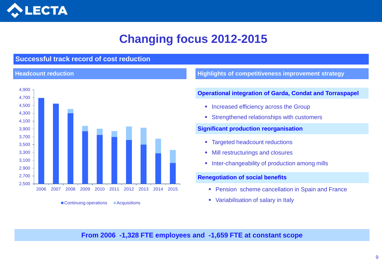

## **Changing focus 2012-2015**

### **Successful track record of cost reduction**

#### **Headcount reduction**



<sup>■</sup> Continuing operations ■ Acquisitions

**Highlights of competitiveness improvement strategy**

#### **Operational integration of Garda, Condat and Torraspapel**

- **Increased efficiency across the Group**
- **Strengthened relationships with customers**

#### **Significant production reorganisation**

- **Targeted headcount reductions**
- **Mill restructurings and closures**
- **Inter-changeability of production among mills**

#### **Renegotiation of social benefits**

- **Pension scheme cancellation in Spain and France**
- Variabilisation of salary in Italy

### **From 2006 -1,328 FTE employees and -1,659 FTE at constant scope**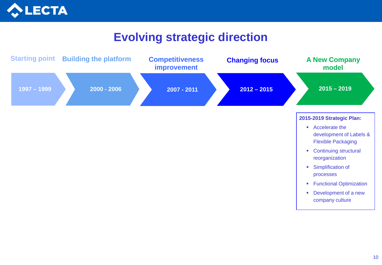

### **Evolving strategic direction**

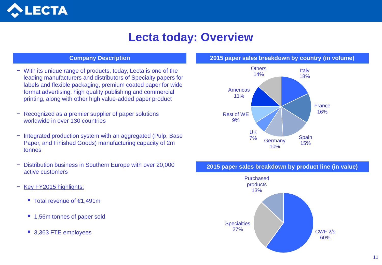

### **Lecta today: Overview**

#### **Company Description**

- − With its unique range of products, today, Lecta is one of the leading manufacturers and distributors of Specialty papers for labels and flexible packaging, premium coated paper for wide format advertising, high quality publishing and commercial printing, along with other high value-added paper product
- − Recognized as a premier supplier of paper solutions worldwide in over 130 countries
- − Integrated production system with an aggregated (Pulp, Base Paper, and Finished Goods) manufacturing capacity of 2m tonnes
- − Distribution business in Southern Europe with over 20,000 active customers
- − Key FY2015 highlights:
	- Total revenue of €1,491m
	- 1.56m tonnes of paper sold
	- 3,363 FTE employees

#### **2015 paper sales breakdown by country (in volume)**



#### **2015 paper sales breakdown by product line (in value)**

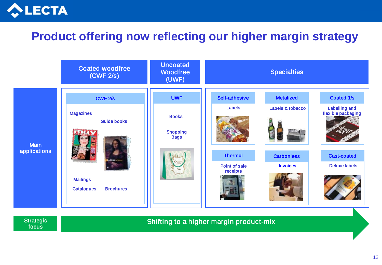

### **Product offering now reflecting our higher margin strategy**



**Strategic** focus

Shifting to a higher margin product-mix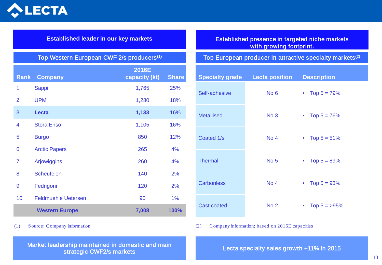

#### **Established leader in our key markets**

| <b>Rank</b>    | <b>Company</b>             | 2016E<br>capacity (kt) | <b>Share</b> |
|----------------|----------------------------|------------------------|--------------|
| 1              | Sappi                      | 1,765                  | 25%          |
| 2              | <b>UPM</b>                 | 1,280                  | 18%          |
| 3              | <b>Lecta</b>               | 1,133                  | 16%          |
| 4              | <b>Stora Enso</b>          | 1,105                  | 16%          |
| 5              | <b>Burgo</b>               | 850                    | 12%          |
| 6              | <b>Arctic Papers</b>       | 265                    | 4%           |
| $\overline{7}$ | Arjowiggins                | 260                    | 4%           |
| 8              | <b>Scheufelen</b>          | 140                    | 2%           |
| 9              | Fedrigoni                  | 120                    | 2%           |
| 10             | <b>Feldmuehle Uetersen</b> | 90                     | 1%           |
|                | <b>Western Europe</b>      | 7,008                  | 100%         |

### Established presence in targeted niche markets with growing footprint.

### Top Western European CWF 2/s producers<sup>(1)</sup> Top European producer in attractive specialty markets<sup>(2)</sup>

| <b>Specialty grade</b> | <b>Lecta position</b> | <b>Description</b> |
|------------------------|-----------------------|--------------------|
| Self-adhesive          | No <sub>6</sub>       | • Top $5 = 79\%$   |
| <b>Metallised</b>      | No <sub>3</sub>       | • Top $5 = 76\%$   |
| Coated 1/s             | No <sub>4</sub>       | • Top $5 = 51\%$   |
| <b>Thermal</b>         | No <sub>5</sub>       | • Top $5 = 89\%$   |
| <b>Carbonless</b>      | No <sub>4</sub>       | • Top $5 = 93%$    |
| <b>Cast coated</b>     | No <sub>2</sub>       | Top $5 = 95\%$     |

(1) Source: Company information (2) Company information; based on 2016E capacities

Market leadership maintained in domestic and main strategic CWF2/s markets

Lecta specialty sales growth +11% in 2015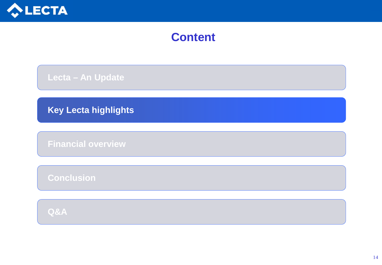

### **Content**

 **Lecta – An Update**

 **Key Lecta highlights**

 **Financial overview**

 **Conclusion**

 **Q&A**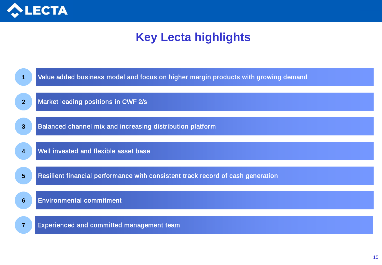

### **Key Lecta highlights**

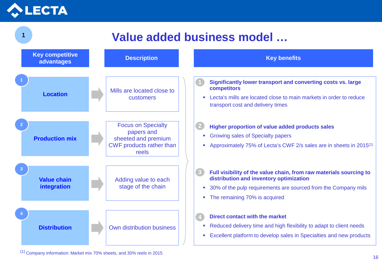

#### **Location Production mix 2** Mills are located close to customers **Description CONSIDERITY CONSIDERITY CONSIDERITY CONSIDERITY CONSIDERITY CONSIDERITY CONSIDERITY CONSIDERITY CONSIDERITY CONSIDERING CONSIDERING CONSIDERING CONSIDERING CONSIDERING CONSIDERING CONSIDERING CONSIDERING CON Significantly lower transport and converting costs vs. large competitors Lecta's mills are located close to main markets in order to reduce** transport cost and delivery times **Higher proportion of value added products sales Growing sales of Specialty papers Approximately 75% of Lecta's CWF 2/s sales are in sheets in 2015**<sup>(1)</sup> **Full visibility of the value chain, from raw materials sourcing to distribution and inventory optimization** <sup>30%</sup> of the pulp requirements are sourced from the Company mils • The remaining 70% is acquired **Direct contact with the market** ■ Reduced delivery time and high flexibility to adapt to client needs **Excellent platform to develop sales in Specialties and new products** Focus on Specialty papers and sheeted and premium CWF products rather than reels **Distribution 4** Own distribution business **Value added business model … Key competitive advantages Value chain integration 3** Adding value to each stage of the chain **2 3 4** 1

(1) Company information: Market mix 70% sheets, and 30% reels in 2015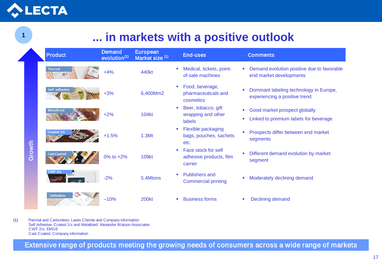# LECTA

1

Ζ

## **... in markets with a positive outlook**

|        | <b>Product</b>                                                                                                                                                                                    | <b>Demand</b><br>evolution <sup>(1)</sup> | <b>European</b><br>Market size (1) |                | <b>End-uses</b>                                            |                               | <b>Comments</b>                                                                                   |
|--------|---------------------------------------------------------------------------------------------------------------------------------------------------------------------------------------------------|-------------------------------------------|------------------------------------|----------------|------------------------------------------------------------|-------------------------------|---------------------------------------------------------------------------------------------------|
|        | Thermal                                                                                                                                                                                           | $+4%$                                     | 440kt                              | ш              | Medical, tickets, point-<br>of-sale machines               |                               | Demand evolution positive due to favorable<br>end market developments                             |
|        | Self-adhesive                                                                                                                                                                                     | $+3%$                                     | 6,400Mm2                           | $\blacksquare$ | Food, beverage,<br>pharmaceuticals and<br>cosmetics        |                               | Dominant labeling technology in Europe,<br>experiencing a positive trend                          |
|        | <b>Metallized</b>                                                                                                                                                                                 | $+2%$                                     | <b>104kt</b>                       | ×              | Beer, tobacco, gift<br>wrapping and other<br><b>labels</b> | $\mathcal{L}_{\rm{eff}}$<br>ш | Good market prospect globally<br>Linked to premium labels for beverage                            |
|        | Coated 1/s                                                                                                                                                                                        | $+1.5%$                                   | 1.3Mt                              | ×              | Flexible packaging<br>bags, pouches, sachets<br>etc.       |                               | Prospects differ between end market<br>segments                                                   |
| Growth | <b>Cast Coated</b>                                                                                                                                                                                | 0% to +2%                                 | <b>109kt</b>                       | <b>SIL</b>     | Face stock for self<br>adhesive products, film<br>carrier  |                               | Different demand evolution by market<br>segment                                                   |
|        | <b>CWF 2/s</b>                                                                                                                                                                                    | $-2%$                                     | 5.4Mtons                           | $\mathbf{r}$   | <b>Publishers and</b><br><b>Commercial printing</b>        |                               | Moderately declining demand                                                                       |
|        | <b>Carbonless</b>                                                                                                                                                                                 | $-10%$                                    | <b>200kt</b>                       |                | <b>Business forms</b>                                      |                               | Declining demand                                                                                  |
|        | Thermal and Carbonless: Laves Chemie and Company information<br>Self Adhesive, Coated 1/s and Metallized: Alexander Watson Associates<br>CWF 2/s: EMGE<br><b>Cast Coated: Company information</b> |                                           |                                    |                |                                                            |                               |                                                                                                   |
|        |                                                                                                                                                                                                   |                                           |                                    |                |                                                            |                               | Extensive range of products meeting the growing needs of consumers across a wide range of markets |

(1) Thermal and Carbonless: Laves Chemie and Company information Self Adhesive, Coated 1/s and Metallized: Alexander Watson Associates CWF 2/s: EMGE Cast Coated: Company information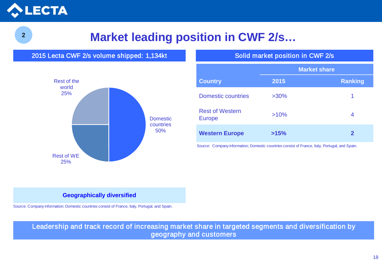

## <sup>2</sup>**Market leading position in CWF 2/s…**

2015 Lecta CWF 2/s volume shipped: 1,134kt Solid market position in CWF 2/s



|                                         | <b>Market share</b> |         |  |
|-----------------------------------------|---------------------|---------|--|
| <b>Country</b>                          | 2015                | Ranking |  |
| <b>Domestic countries</b>               | $>30\%$             | 1       |  |
| <b>Rest of Western</b><br><b>Europe</b> | >10%                | 4       |  |
| <b>Western Europe</b>                   | >15%                | 2       |  |

Source: Company information; Domestic countries consist of France, Italy, Portugal, and Spain.

#### **Geographically diversified**

Source: Company information; Domestic countries consist of France, Italy, Portugal, and Spain.

Leadership and track record of increasing market share in targeted segments and diversification by geography and customers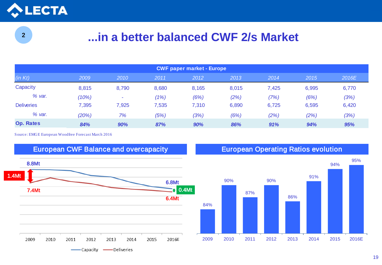

2

### **...in a better balanced CWF 2/s Market**

| <b>CWF paper market - Europe</b> |       |       |       |       |       |       |       |       |
|----------------------------------|-------|-------|-------|-------|-------|-------|-------|-------|
| (in Kt)                          | 2009  | 2010  | 2011  | 2012  | 2013  | 2014  | 2015  | 2016E |
| Capacity                         | 8,815 | 8,790 | 8,680 | 8,165 | 8,015 | 7,425 | 6,995 | 6,770 |
| % var.                           | (10%) | -     | (1%)  | (6%)  | (2%)  | (7%)  | (6%)  | (3%)  |
| <b>Deliveries</b>                | 7,395 | 7,925 | 7,535 | 7,310 | 6,890 | 6,725 | 6,595 | 6,420 |
| % var.                           | (20%) | 7%    | (5%)  | (3%)  | (6%)  | (2%)  | (2%)  | (3%)  |
| <b>Op. Rates</b>                 | 84%   | 90%   | 87%   | 90%   | 86%   | 91%   | 94%   | 95%   |

Source: EMGE European Woodfree Forecast March 2016



European CWF Balance and overcapacity European Operating Ratios evolution

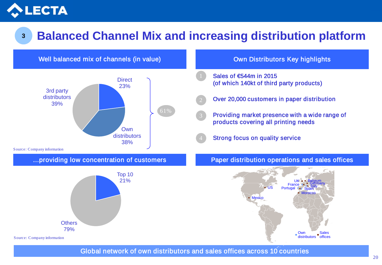

## <sup>3</sup>**Balanced Channel Mix and increasing distribution platform**



Global network of own distributors and sales offices across 10 countries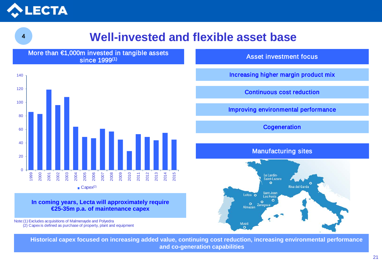

### **Well-invested and flexible asset base**

More than €1,000m invested in tangible assets since 1999(1)



#### **In coming years, Lecta will approximately require €25-35m p.a. of maintenance capex**

Note:(1) Excludes acquisitions of Malmenayde and Polyedra (2) Capex is defined as purchase of property, plant and equipment Asset investment focus

Increasing higher margin product mix

Continuous cost reduction

Improving environmental performance

**Cogeneration** 

### Manufacturing sites



**Historical capex focused on increasing added value, continuing cost reduction, increasing environmental performance and co-generation capabilities**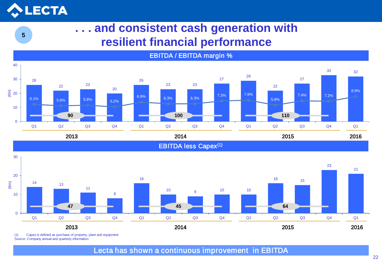# **LECTA**

5

### **. . . and consistent cash generation with resilient financial performance**



EBITDA / EBITDA margin %



(1) Capex is defined as purchase of property, plant and equipment Source: Company annual and quarterly information

Lecta has shown a continuous improvement in EBITDA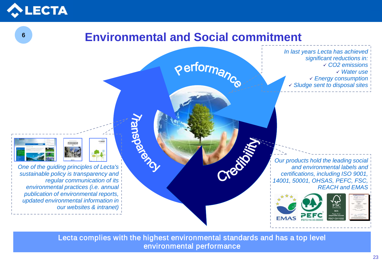

6

### **Environmental and Social commitment**



*In last years Lecta has achieved significant reductions in: CO2 emissions Water use Energy consumption Sludge sent to disposal sites*

*Our products hold the leading social and environmental labels and certifications, including ISO 9001, 14001, 50001, OHSAS, PEFC, FSC, REACH and EMAS*











Lecta complies with the highest environmental standards and has a top level environmental performance



*sustainable policy is transparency and regular communication of its environmental practices (i.e. annual publication of environmental reports, updated environmental information in our websites & intranet)*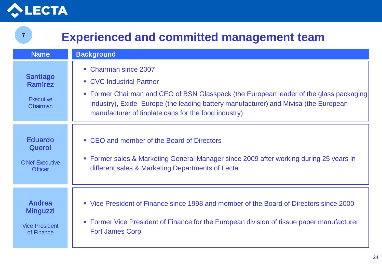

7

### **Experienced and committed management team**

| <b>Name</b>                                                          | <b>Background</b>                                                                                                                                                                                                                                                                          |
|----------------------------------------------------------------------|--------------------------------------------------------------------------------------------------------------------------------------------------------------------------------------------------------------------------------------------------------------------------------------------|
| Santiago<br>Ramírez<br><b>Executive</b><br>Chairman                  | • Chairman since 2007<br>• CVC Industrial Partner<br>• Former Chairman and CEO of BSN Glasspack (the European leader of the glass packaging<br>industry), Exide Europe (the leading battery manufacturer) and Mivisa (the European<br>manufacturer of tinplate cans for the food industry) |
| <b>Eduardo</b><br>Querol<br><b>Chief Executive</b><br><b>Officer</b> | • CEO and member of the Board of Directors<br>• Former sales & Marketing General Manager since 2009 after working during 25 years in<br>different sales & Marketing Departments of Lecta                                                                                                   |
| Andrea<br><b>Minguzzi</b><br><b>Vice President</b><br>of Finance     | • Vice President of Finance since 1998 and member of the Board of Directors since 2000<br>Former Vice President of Finance for the European division of tissue paper manufacturer<br>$\overline{\phantom{a}}$<br><b>Fort James Corp</b>                                                    |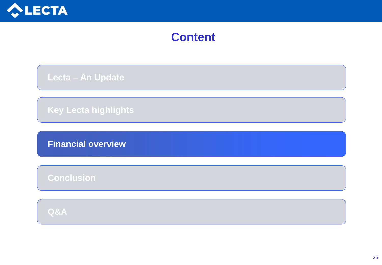

### **Content**

 **Lecta – An Update**

 **Key Lecta highlights**

 **Financial overview**

 **Conclusion**

 **Q&A**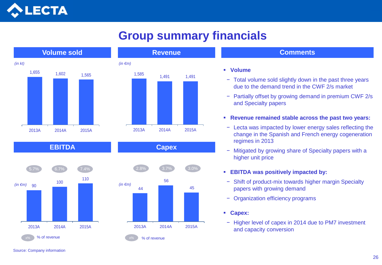

## **Group summary financials**



#### **Comments**

#### **Volume**

- − Total volume sold slightly down in the past three years due to the demand trend in the CWF 2/s market
- − Partially offset by growing demand in premium CWF 2/s and Specialty papers
- **Revenue remained stable across the past two years:**
- − Lecta was impacted by lower energy sales reflecting the change in the Spanish and French energy cogeneration regimes in 2013
- − Mitigated by growing share of Specialty papers with a higher unit price
- **EBITDA was positively impacted by:**
- − Shift of product-mix towards higher margin Specialty papers with growing demand
- − Organization efficiency programs
- **Capex:**
- − Higher level of capex in 2014 due to PM7 investment and capacity conversion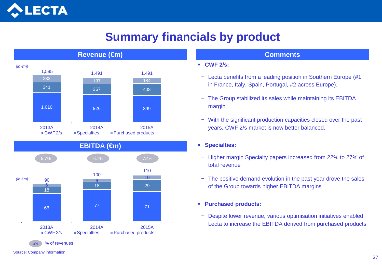

### **Summary financials by product**





#### **CWF 2/s:**

- − Lecta benefits from a leading position in Southern Europe (#1 in France, Italy, Spain, Portugal, #2 across Europe).
- − The Group stabilized its sales while maintaining its EBITDA margin
- − With the significant production capacities closed over the past years, CWF 2/s market is now better balanced.

### **Specialties:**

- − Higher margin Specialty papers increased from 22% to 27% of total revenue
- − The positive demand evolution in the past year drove the sales of the Group towards higher EBITDA margins
- **Purchased products:**
- − Despite lower revenue, various optimisation initiatives enabled Lecta to increase the EBITDA derived from purchased products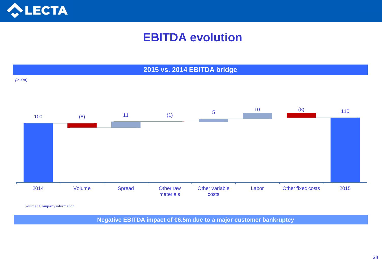

### **EBITDA evolution**



Source: Company information

**Negative EBITDA impact of €6.5m due to a major customer bankruptcy**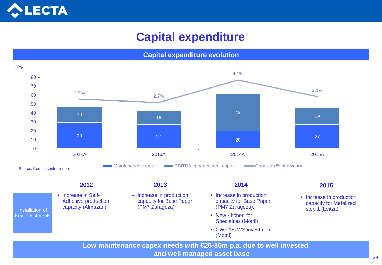

### **Capital expenditure**



**Low maintenance capex needs with €25-35m p.a. due to well invested and well managed asset base** 2022 2023 2024 2025 2026 2027 2028 2029 2029 2029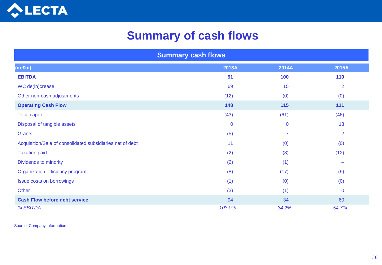

### **Summary of cash flows**

| <b>Summary cash flows</b>                                 |             |                |                          |  |
|-----------------------------------------------------------|-------------|----------------|--------------------------|--|
| $(in \oplus n)$                                           | 2013A       | 2014A          | 2015A                    |  |
| <b>EBITDA</b>                                             | 91          | 100            | 110                      |  |
| WC de(in)crease                                           | 69          | 15             | $\overline{2}$           |  |
| Other non-cash adjustments                                | (12)        | (0)            | (0)                      |  |
| <b>Operating Cash Flow</b>                                | 148         | 115            | 111                      |  |
| <b>Total capex</b>                                        | (43)        | (61)           | (46)                     |  |
| Disposal of tangible assets                               | $\mathbf 0$ | $\mathbf{0}$   | 13                       |  |
| Grants                                                    | (5)         | $\overline{7}$ | $\overline{2}$           |  |
| Acquisition/Sale of consolidated subsidiaries net of debt | 11          | (0)            | (0)                      |  |
| <b>Taxation paid</b>                                      | (2)         | (8)            | (12)                     |  |
| Dividends to minority                                     | (2)         | (1)            | $\overline{\phantom{a}}$ |  |
| Organization efficiency program                           | (8)         | (17)           | (9)                      |  |
| <b>Issue costs on borrowings</b>                          | (1)         | (0)            | (0)                      |  |
| Other                                                     | (3)         | (1)            | $\mathbf 0$              |  |
| <b>Cash Flow before debt service</b>                      | 94          | 34             | 60                       |  |
| % EBITDA                                                  | 103.0%      | 34.2%          | 54.7%                    |  |

Source: Company information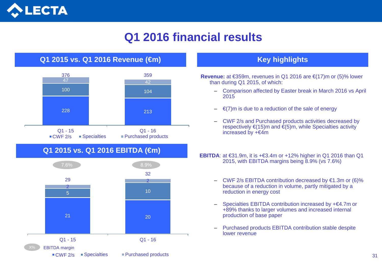

### **Q1 2016 financial results**



- **Revenue:** at €359m, revenues in Q1 2016 are €(17)m or (5)% lower than during Q1 2015, of which:
	- Comparison affected by Easter break in March 2016 vs April 2015
	- $\epsilon$ (7)m is due to a reduction of the sale of energy
	- CWF 2/s and Purchased products activities decreased by respectively  $\epsilon$ (15)m and  $\epsilon$ (5)m, while Specialties activity increased by  $+ \in 4m$

**EBITDA:** at  $\text{\textsterling}31.9m$ , it is  $+\text{\textsterling}3.4m$  or  $+12\%$  higher in Q1 2016 than Q1 2015, with EBITDA margins being 8.9% (vs 7.6%)

- CWF 2/s EBITDA contribution decreased by  $\epsilon$ 1.3m or (6)% because of a reduction in volume, partly mitigated by a reduction in energy cost
- Specialties EBITDA contribution increased by +€4.7m or +89% thanks to larger volumes and increased internal production of base paper
- Purchased products EBITDA contribution stable despite lower revenue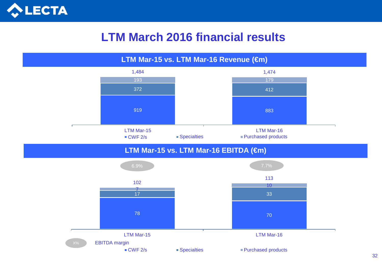

### **LTM March 2016 financial results**

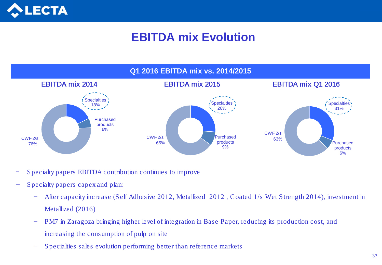

## **EBITDA mix Evolution**



- Specialty papers EBITDA contribution continues to improve
- − Specialty papers capex and plan:
	- − After capacity increase (Self Adhesive 2012, Metallized 2012 , Coated 1/s Wet Strength 2014), investment in Metallized (2016)
	- − PM7 in Zaragoza bringing higher level of integration in Base Paper, reducing its production cost, and increasing the consumption of pulp on site
	- Specialties sales evolution performing better than reference markets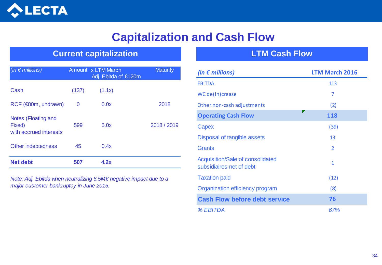

### **Capitalization and Cash Flow**

### **Current capitalization LTM Cash Flow**

| (in $\epsilon$ millions)                                |       | Amount x LTM March<br>Adj. Ebitda of €120m | <b>Maturity</b> |
|---------------------------------------------------------|-------|--------------------------------------------|-----------------|
| Cash                                                    | (137) | (1.1x)                                     |                 |
| RCF (€80m, undrawn)                                     | 0     | 0.0x                                       | 2018            |
| Notes (Floating and<br>Fixed)<br>with accrued interests | 599   | 5.0x                                       | 2018 / 2019     |
| Other indebtedness                                      | 45    | 0.4x                                       |                 |
| <b>Net debt</b>                                         | 507   | 4.2x                                       |                 |

*Note: Adj. Ebitda when neutralizing 6.5M€ negative impact due to a major customer bankruptcy in June 2015.*

| (in $\epsilon$ millions)                                            | <b>LTM March 2016</b> |
|---------------------------------------------------------------------|-----------------------|
| <b>EBITDA</b>                                                       | 113                   |
| WC de(in) crease                                                    | 7                     |
| Other non-cash adjustments                                          | (2)                   |
| <b>Operating Cash Flow</b>                                          | 118                   |
| Capex                                                               | (39)                  |
| Disposal of tangible assets                                         | 13                    |
| <b>Grants</b>                                                       | 2                     |
| <b>Acquisition/Sale of consolidated</b><br>subsidiaires net of debt | 1                     |
| <b>Taxation paid</b>                                                | (12)                  |
| Organization efficiency program                                     | (8)                   |
| <b>Cash Flow before debt service</b>                                | 76                    |
| % EBITDA                                                            | 67%                   |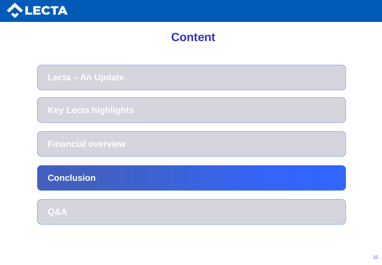

### **Content**

 **Lecta – An Update**

 **Key Lecta highlights**

 **Financial overview**

 **Conclusion**

 **Q&A**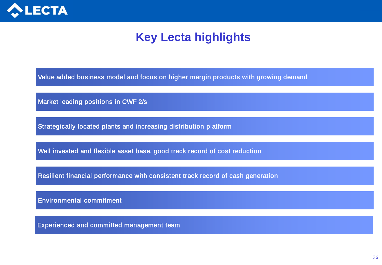

### **Key Lecta highlights**

Value added business model and focus on higher margin products with growing demand

Market leading positions in CWF 2/s

Strategically located plants and increasing distribution platform

Well invested and flexible asset base, good track record of cost reduction

Resilient financial performance with consistent track record of cash generation

Environmental commitment

Experienced and committed management team